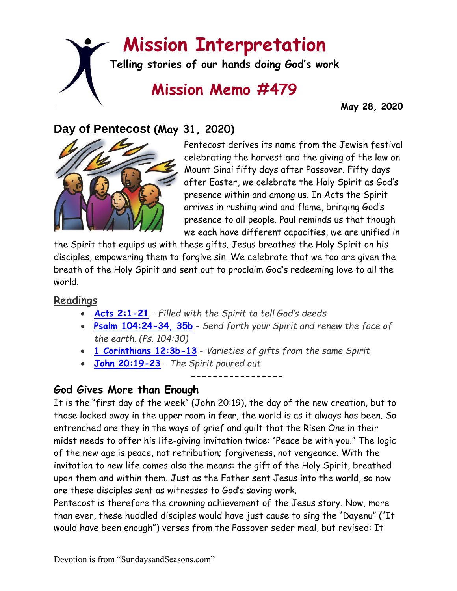# **Mission Interpretation**

**Telling stories of our hands doing God's work**

# **Mission Memo #479**

 **May 28, 2020**

# **Day of Pentecost (May 31, 2020)**



Pentecost derives its name from the Jewish festival celebrating the harvest and the giving of the law on Mount Sinai fifty days after Passover. Fifty days after Easter, we celebrate the Holy Spirit as God's presence within and among us. In Acts the Spirit arrives in rushing wind and flame, bringing God's presence to all people. Paul reminds us that though we each have different capacities, we are unified in

the Spirit that equips us with these gifts. Jesus breathes the Holy Spirit on his disciples, empowering them to forgive sin. We celebrate that we too are given the breath of the Holy Spirit and sent out to proclaim God's redeeming love to all the world.

### **Readings**

- **[Acts 2:1-21](https://members.sundaysandseasons.com/)** *Filled with the Spirit to tell God's deeds*
- **[Psalm 104:24-34, 35b](https://members.sundaysandseasons.com/)** *Send forth your Spirit and renew the face of the earth. (Ps. 104:30)*

**-----------------**

- **[1 Corinthians 12:3b-13](https://members.sundaysandseasons.com/)** *Varieties of gifts from the same Spirit*
- **[John 20:19-23](https://members.sundaysandseasons.com/)** *The Spirit poured out*

## **God Gives More than Enough**

It is the "first day of the week" (John 20:19), the day of the new creation, but to those locked away in the upper room in fear, the world is as it always has been. So entrenched are they in the ways of grief and guilt that the Risen One in their midst needs to offer his life-giving invitation twice: "Peace be with you." The logic of the new age is peace, not retribution; forgiveness, not vengeance. With the invitation to new life comes also the means: the gift of the Holy Spirit, breathed upon them and within them. Just as the Father sent Jesus into the world, so now are these disciples sent as witnesses to God's saving work.

Pentecost is therefore the crowning achievement of the Jesus story. Now, more than ever, these huddled disciples would have just cause to sing the "Dayenu" ("It would have been enough") verses from the Passover seder meal, but revised: It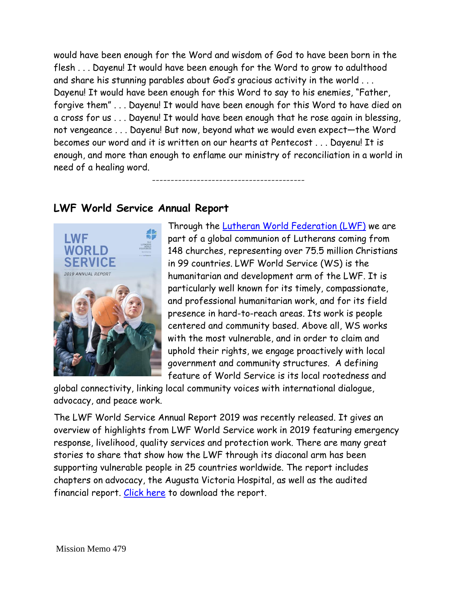would have been enough for the Word and wisdom of God to have been born in the flesh . . . Dayenu! It would have been enough for the Word to grow to adulthood and share his stunning parables about God's gracious activity in the world . . . Dayenu! It would have been enough for this Word to say to his enemies, "Father, forgive them" . . . Dayenu! It would have been enough for this Word to have died on a cross for us . . . Dayenu! It would have been enough that he rose again in blessing, not vengeance . . . Dayenu! But now, beyond what we would even expect—the Word becomes our word and it is written on our hearts at Pentecost . . . Dayenu! It is enough, and more than enough to enflame our ministry of reconciliation in a world in need of a healing word.

-----------------------------------------

#### **LWF World Service Annual Report**



Through the [Lutheran World Federation \(LWF\)](https://www.lutheranworld.org/) we are part of a global communion of Lutherans coming from 148 churches, representing over 75.5 million Christians in 99 countries. LWF World Service (WS) is the humanitarian and development arm of the LWF. It is particularly well known for its timely, compassionate, and professional humanitarian work, and for its field presence in hard-to-reach areas. Its work is people centered and community based. Above all, WS works with the most vulnerable, and in order to claim and uphold their rights, we engage proactively with local government and community structures. A defining feature of World Service is its local rootedness and

global connectivity, linking local community voices with international dialogue, advocacy, and peace work.

The LWF World Service Annual Report 2019 was recently released. It gives an overview of highlights from LWF World Service work in 2019 featuring emergency response, livelihood, quality services and protection work. There are many great stories to share that show how the LWF through its diaconal arm has been supporting vulnerable people in 25 countries worldwide. The report includes chapters on advocacy, the Augusta Victoria Hospital, as well as the audited financial report. [Click here](https://www.lutheranworld.org/content/resource-lwf-world-service-annual-report-2019?ct=t(EMAIL_CAMPAIGN_20190719_COPY_01)) to download the report.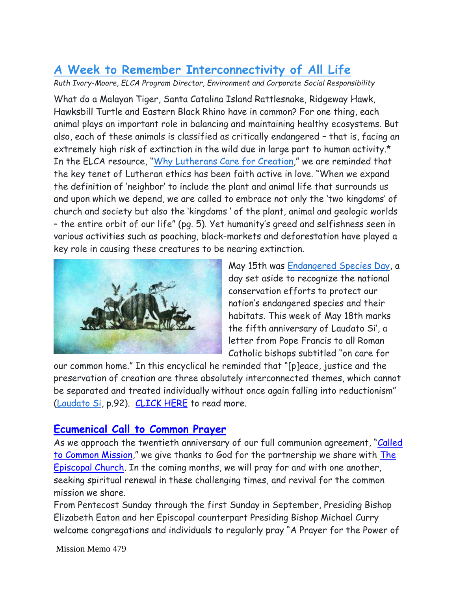# **[A Week to Remember Interconnectivity of All Life](https://blogs.elca.org/advocacy/a-week-to-remember-interconnectivity-of-all-life/)**

*Ruth Ivory-Moore, ELCA Program Director, Environment and Corporate Social Responsibility*

What do a Malayan Tiger, Santa Catalina Island Rattlesnake, Ridgeway Hawk, Hawksbill Turtle and Eastern Black Rhino have in common? For one thing, each animal plays an important role in balancing and maintaining healthy ecosystems. But also, each of these animals is classified as critically endangered – that is, facing an extremely high risk of extinction in the wild due in large part to human activity.\* In the ELCA resource, "[Why Lutherans Care for Creation](http://download.elca.org/ELCA%20Resource%20Repository/Why_Lutherans_Care_For_Creation.pdf?_ga=2.30085626.475728957.1589805397-2059685158.1584637778)," we are reminded that the key tenet of Lutheran ethics has been faith active in love. "When we expand the definition of 'neighbor' to include the plant and animal life that surrounds us and upon which we depend, we are called to embrace not only the 'two kingdoms' of church and society but also the 'kingdoms ' of the plant, animal and geologic worlds – the entire orbit of our life" (pg. 5). Yet humanity's greed and selfishness seen in various activities such as poaching, black-markets and deforestation have played a key role in causing these creatures to be nearing extinction.



May 15th was [Endangered Species Day,](https://www.fws.gov/endangered/esday/index.html) a day set aside to recognize the national conservation efforts to protect our nation's endangered species and their habitats. This week of May 18th marks the fifth anniversary of Laudato Si', a letter from Pope Francis to all Roman Catholic bishops subtitled "on care for

our common home." In this encyclical he reminded that "[p]eace, justice and the preservation of creation are three absolutely interconnected themes, which cannot be separated and treated individually without once again falling into reductionism" [\(Laudato Si,](https://w2.vatican.va/content/francesco/en/encyclicals/documents/papa-francesco_20150524_enciclica-laudato-si.html) p.92). [CLICK HERE](https://blogs.elca.org/advocacy/a-week-to-remember-interconnectivity-of-all-life/) to read more.

### **[Ecumenical Call to Common Prayer](https://blogs.elca.org/eirr/ecumenical-call-to-common-prayer/)**

As we approach the twentieth anniversary of our full communion agreement, "Called [to Common Mission](https://download.elca.org/ELCA%20Resource%20Repository/Called_To_Common_Mission.pdf)," we give thanks to God for the partnership we share with The [Episcopal Church.](https://episcopalchurch.org/) In the coming months, we will pray for and with one another, seeking spiritual renewal in these challenging times, and revival for the common mission we share.

From Pentecost Sunday through the first Sunday in September, Presiding Bishop Elizabeth Eaton and her Episcopal counterpart Presiding Bishop Michael Curry welcome congregations and individuals to regularly pray "A Prayer for the Power of

Mission Memo 479